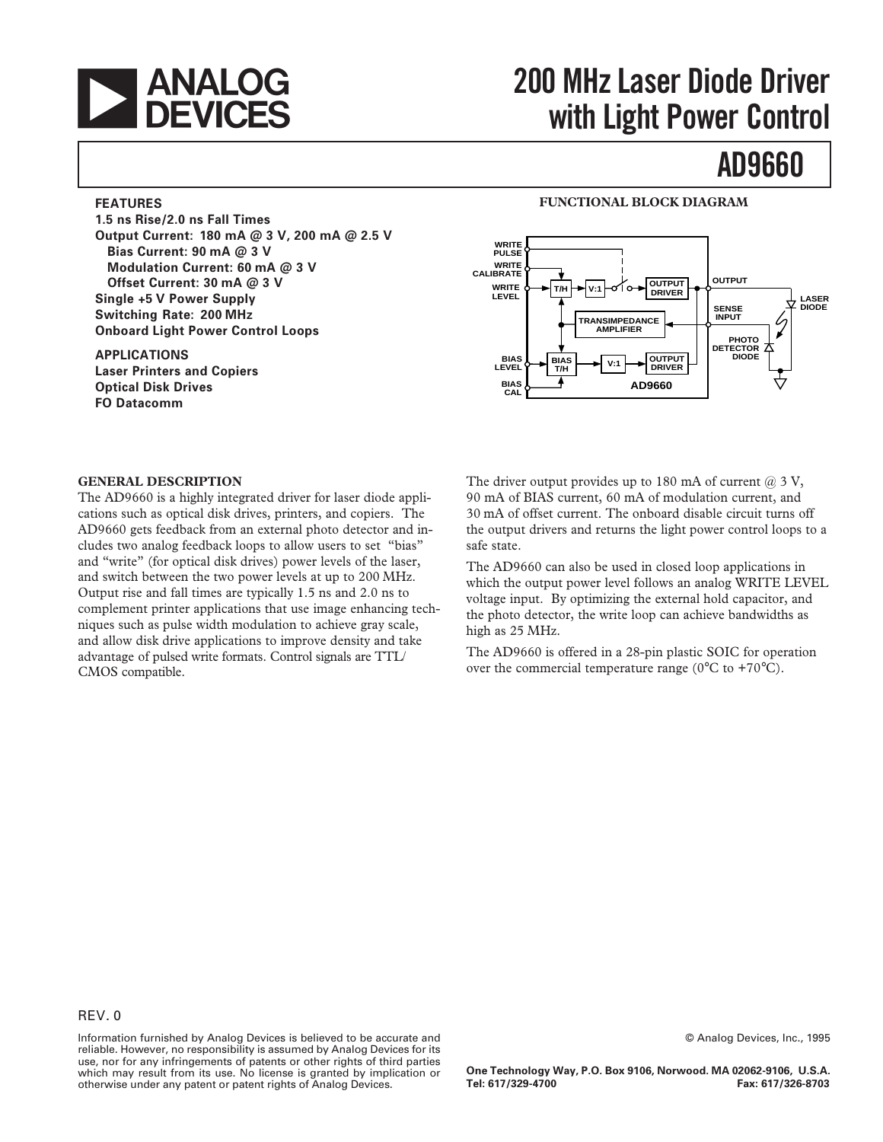

# **200 MHz Laser Diode Driver with Light Power Control**

# **AD9660**

## **FEATURES**

**1.5 ns Rise/2.0 ns Fall Times Output Current: 180 mA @ 3 V, 200 mA @ 2.5 V Bias Current: 90 mA @ 3 V Modulation Current: 60 mA @ 3 V Offset Current: 30 mA @ 3 V Single +5 V Power Supply Switching Rate: 200 MHz Onboard Light Power Control Loops**

#### **APPLICATIONS Laser Printers and Copiers Optical Disk Drives FO Datacomm**

## **FUNCTIONAL BLOCK DIAGRAM**



#### **GENERAL DESCRIPTION**

The AD9660 is a highly integrated driver for laser diode applications such as optical disk drives, printers, and copiers. The AD9660 gets feedback from an external photo detector and includes two analog feedback loops to allow users to set "bias" and "write" (for optical disk drives) power levels of the laser, and switch between the two power levels at up to 200 MHz. Output rise and fall times are typically 1.5 ns and 2.0 ns to complement printer applications that use image enhancing techniques such as pulse width modulation to achieve gray scale, and allow disk drive applications to improve density and take advantage of pulsed write formats. Control signals are TTL/ CMOS compatible.

The driver output provides up to 180 mA of current  $(2)$  3 V, 90 mA of BIAS current, 60 mA of modulation current, and 30 mA of offset current. The onboard disable circuit turns off the output drivers and returns the light power control loops to a safe state.

The AD9660 can also be used in closed loop applications in which the output power level follows an analog WRITE LEVEL voltage input. By optimizing the external hold capacitor, and the photo detector, the write loop can achieve bandwidths as high as 25 MHz.

The AD9660 is offered in a 28-pin plastic SOIC for operation over the commercial temperature range ( $0^{\circ}$ C to +70 $^{\circ}$ C).

Information furnished by Analog Devices is believed to be accurate and reliable. However, no responsibility is assumed by Analog Devices for its use, nor for any infringements of patents or other rights of third parties which may result from its use. No license is granted by implication or otherwise under any patent or patent rights of Analog Devices.

© Analog Devices, Inc., 1995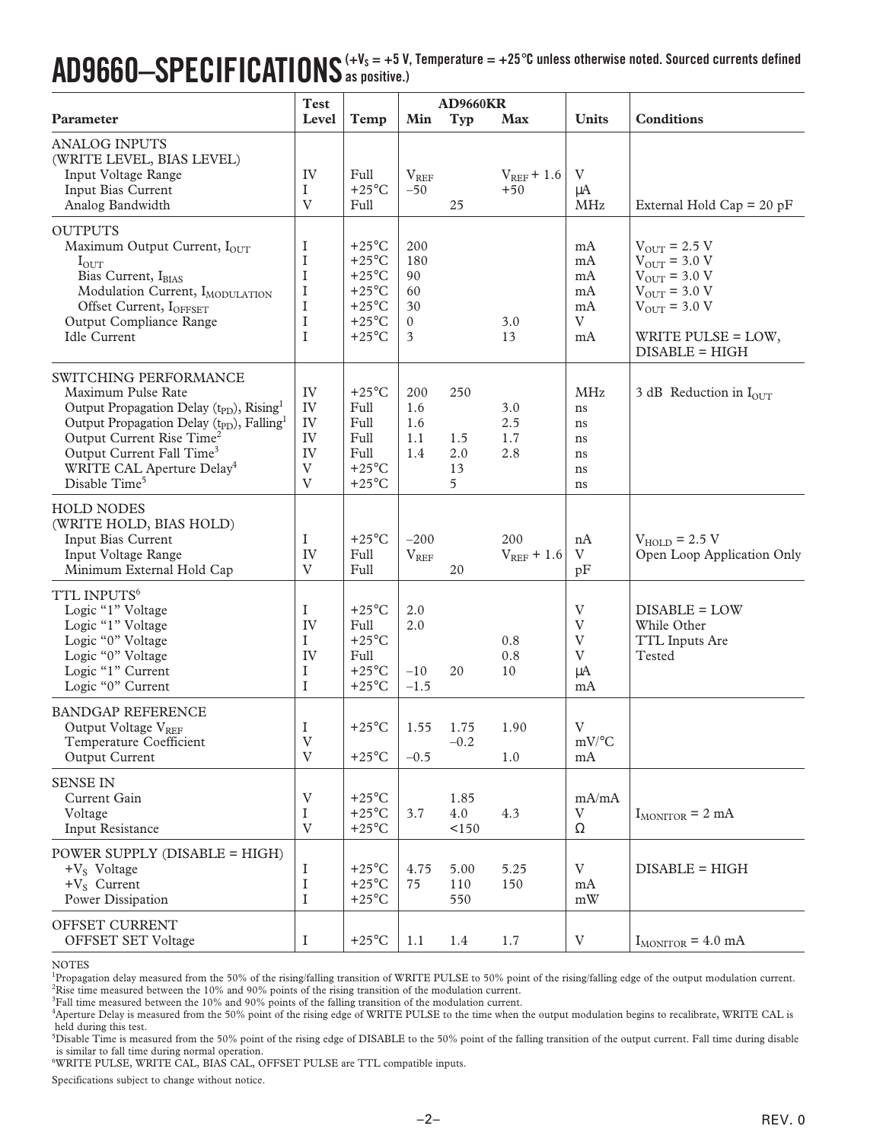## $\bf{AD9660{\rm -}SPECIFICATIONS}$  (+ V<sub>s</sub> = +5 V, Temperature = +25°C unless otherwise noted. Sourced currents defined **as positive.)**

|                                                                                                                                                                                                                                                                                                                                              | <b>Test</b>                                    |                                                                                                                                   |                                               | <b>AD9660KR</b>              |                          |                                                |                                                                                                                                                                    |
|----------------------------------------------------------------------------------------------------------------------------------------------------------------------------------------------------------------------------------------------------------------------------------------------------------------------------------------------|------------------------------------------------|-----------------------------------------------------------------------------------------------------------------------------------|-----------------------------------------------|------------------------------|--------------------------|------------------------------------------------|--------------------------------------------------------------------------------------------------------------------------------------------------------------------|
| Parameter                                                                                                                                                                                                                                                                                                                                    | Level                                          | Temp                                                                                                                              | Min                                           | <b>Typ</b>                   | <b>Max</b>               | <b>Units</b>                                   | <b>Conditions</b>                                                                                                                                                  |
| <b>ANALOG INPUTS</b><br>(WRITE LEVEL, BIAS LEVEL)<br>Input Voltage Range<br>Input Bias Current<br>Analog Bandwidth                                                                                                                                                                                                                           | IV<br>I<br>$\mathbf V$                         | Full<br>$+25^{\circ}$ C<br>Full                                                                                                   | $V_{REF}$<br>$-50$                            | 25                           | $V_{REF}$ + 1.6<br>$+50$ | V<br>$\mu A$<br><b>MHz</b>                     | External Hold Cap = $20$ pF                                                                                                                                        |
| <b>OUTPUTS</b><br>Maximum Output Current, IOUT<br>$I_{OUT}$<br>Bias Current, IBIAS<br>Modulation Current, IMODULATION<br>Offset Current, IOFFSET<br>Output Compliance Range<br><b>Idle Current</b>                                                                                                                                           | I<br>I<br>I<br>I<br>I<br>I<br>I                | $+25^{\circ}$ C<br>$+25^{\circ}$ C<br>$+25^{\circ}$ C<br>$+25^{\circ}$ C<br>$+25^{\circ}$ C<br>$+25^{\circ}$ C<br>$+25^{\circ}$ C | 200<br>180<br>90<br>60<br>30<br>$\Omega$<br>3 |                              | 3.0<br>13                | mA<br>mA<br>mA<br>mA<br>mA<br>V<br>mA          | $V_{\text{OUT}}$ = 2.5 V<br>$V_{OUT}$ = 3.0 V<br>$V_{OUT}$ = 3.0 V<br>$V_{\text{OUT}}$ = 3.0 V<br>$V_{\text{OUT}} = 3.0 V$<br>WRITE PULSE = LOW,<br>DISABLE = HIGH |
| SWITCHING PERFORMANCE<br>Maximum Pulse Rate<br>Output Propagation Delay (t <sub>PD</sub> ), Rising <sup>1</sup><br>Output Propagation Delay (t <sub>PD</sub> ), Falling <sup>1</sup><br>Output Current Rise Time <sup>2</sup><br>Output Current Fall Time <sup>3</sup><br>WRITE CAL Aperture Delay <sup>4</sup><br>Disable Time <sup>5</sup> | IV<br>IV<br>IV<br>IV<br>IV<br>V<br>V           | $+25^{\circ}$ C<br>Full<br>Full<br>Full<br>Full<br>$+25^{\circ}$ C<br>$+25^{\circ}$ C                                             | 200<br>1.6<br>1.6<br>1.1<br>1.4               | 250<br>1.5<br>2.0<br>13<br>5 | 3.0<br>2.5<br>1.7<br>2.8 | <b>MHz</b><br>ns<br>ns<br>ns<br>ns<br>ns<br>ns | 3 dB Reduction in $I_{\text{OUT}}$                                                                                                                                 |
| <b>HOLD NODES</b><br>(WRITE HOLD, BIAS HOLD)<br>Input Bias Current<br>Input Voltage Range<br>Minimum External Hold Cap                                                                                                                                                                                                                       | I<br>IV<br>$\mathbf{V}$                        | $+25^{\circ}$ C<br>Full<br>Full                                                                                                   | $-200$<br>$V_{REF}$                           | 20                           | 200<br>$V_{REF}$ + 1.6   | nA<br>V<br>pF                                  | $V_{HOLD}$ = 2.5 V<br>Open Loop Application Only                                                                                                                   |
| TTL INPUTS <sup>6</sup><br>Logic "1" Voltage<br>Logic "1" Voltage<br>Logic "0" Voltage<br>Logic "0" Voltage<br>Logic "1" Current<br>Logic "0" Current                                                                                                                                                                                        | I<br>IV<br>I<br>IV<br>I<br>1                   | $+25^{\circ}$ C<br>Full<br>$+25^{\circ}$ C<br>Full<br>$+25^{\circ}$ C<br>$+25^{\circ}$ C                                          | 2.0<br>2.0<br>$-10$<br>$-1.5$                 | 20                           | 0.8<br>0.8<br>10         | V<br>V<br>V<br>V<br>μA<br>mA                   | DISABLE = LOW<br>While Other<br>TTL Inputs Are<br>Tested                                                                                                           |
| <b>BANDGAP REFERENCE</b><br>Output Voltage VREF<br>Temperature Coefficient<br>Output Current                                                                                                                                                                                                                                                 | I<br>$\ensuremath{\mathbf{V}}$<br>$\mathbf{V}$ | $+25^{\circ}$ C<br>$+25^{\circ}$ C                                                                                                | 1.55<br>$-0.5$                                | 1.75<br>$-0.2$               | 1.90<br>1.0              | V<br>$mV$ <sup>o</sup> C<br>mA                 |                                                                                                                                                                    |
| <b>SENSE IN</b><br>Current Gain<br>Voltage<br>Input Resistance                                                                                                                                                                                                                                                                               | V<br>$\bf I$<br>$\mathbf{V}$                   | $+25^{\circ}$ C<br>$+25^{\circ}$ C<br>$+25^{\circ}$ C                                                                             | 3.7                                           | 1.85<br>4.0<br><150          | 4.3                      | mA/mA<br>V<br>$\Omega$                         | $I_{MONTOR}$ = 2 mA                                                                                                                                                |
| POWER SUPPLY (DISABLE = HIGH)<br>$+V_S$ Voltage<br>$+V_S$ Current<br>Power Dissipation                                                                                                                                                                                                                                                       | I<br>I<br>I                                    | $+25^{\circ}$ C<br>$+25^{\circ}$ C<br>$+25^{\circ}$ C                                                                             | 4.75<br>75                                    | 5.00<br>110<br>550           | 5.25<br>150              | $\rm V$<br>mA<br>$\bold{m}\bold{W}$            | DISABLE = HIGH                                                                                                                                                     |
| OFFSET CURRENT<br>OFFSET SET Voltage                                                                                                                                                                                                                                                                                                         | I                                              | $+25^{\circ}$ C                                                                                                                   | 1.1                                           | 1.4                          | 1.7                      | $\ensuremath{\mathbf{V}}$                      | $I_{MONTOR}$ = 4.0 mA                                                                                                                                              |

#### NOTES

<sup>1</sup>Propagation delay measured from the 50% of the rising/falling transition of WRITE PULSE to 50% point of the rising/falling edge of the output modulation current.

2 Rise time measured between the 10% and 90% points of the rising transition of the modulation current. 3 Fall time measured between the 10% and 90% points of the falling transition of the modulation current.

4 Aperture Delay is measured from the 50% point of the rising edge of WRITE PULSE to the time when the output modulation begins to recalibrate, WRITE CAL is held during this test.

5 Disable Time is measured from the 50% point of the rising edge of DISABLE to the 50% point of the falling transition of the output current. Fall time during disable is similar to fall time during normal operation. 6 WRITE PULSE, WRITE CAL, BIAS CAL, OFFSET PULSE are TTL compatible inputs.

Specifications subject to change without notice.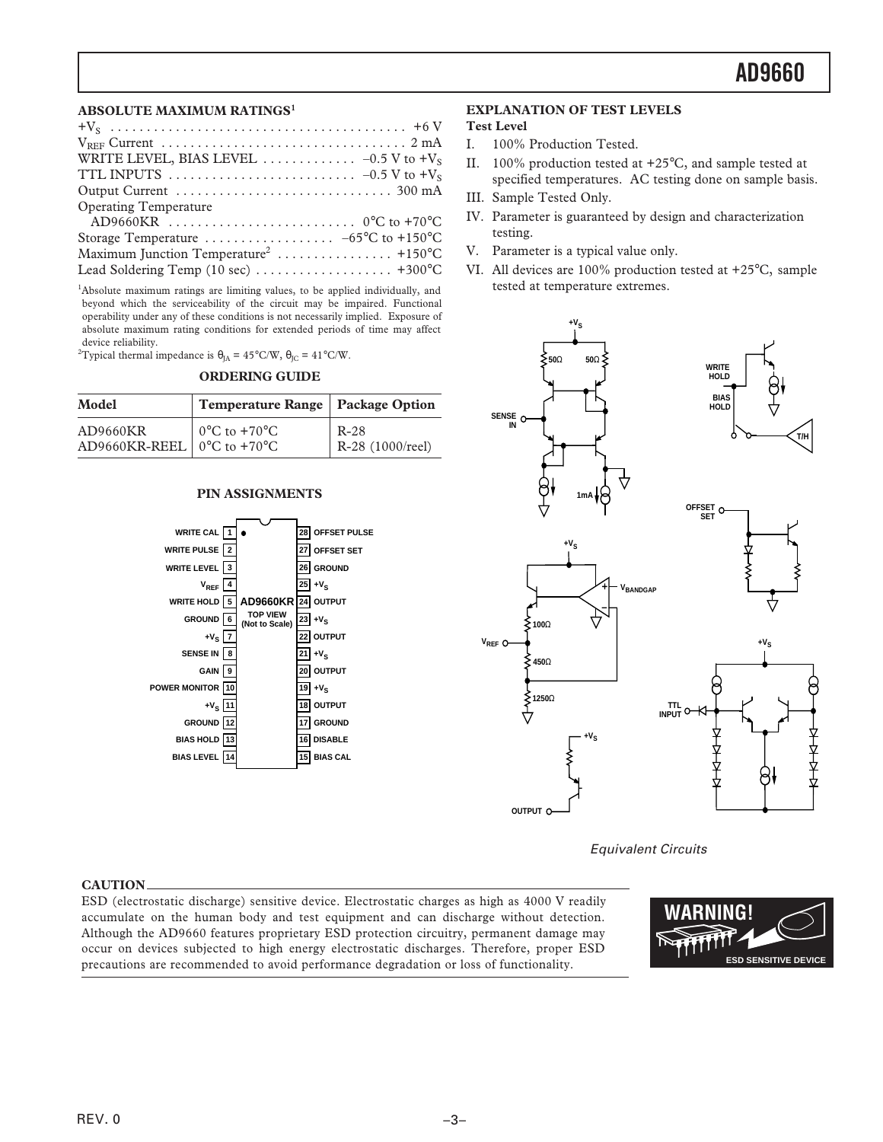### **ABSOLUTE MAXIMUM RATINGS<sup>1</sup>**

| <b>Operating Temperature</b>         |
|--------------------------------------|
|                                      |
|                                      |
|                                      |
| Lead Soldering Temp (10 sec)  +300°C |
|                                      |

<sup>1</sup>Absolute maximum ratings are limiting values, to be applied individually, and beyond which the serviceability of the circuit may be impaired. Functional operability under any of these conditions is not necessarily implied. Exposure of absolute maximum rating conditions for extended periods of time may affect device reliability.

<sup>2</sup>Typical thermal impedance is  $\theta_{JA} = 45^{\circ}$ C/W,  $\theta_{JC} = 41^{\circ}$ C/W.

#### **ORDERING GUIDE**

| Model                                                         | Temperature Range   Package Option |                            |
|---------------------------------------------------------------|------------------------------------|----------------------------|
| AD9660KR<br>AD9660KR-REEL   $0^{\circ}$ C to +70 $^{\circ}$ C | $^{\circ}$ 0°C to +70°C            | $R-28$<br>R-28 (1000/reel) |

### **PIN ASSIGNMENTS**



#### **CAUTION**

ESD (electrostatic discharge) sensitive device. Electrostatic charges as high as 4000 V readily accumulate on the human body and test equipment and can discharge without detection. Although the AD9660 features proprietary ESD protection circuitry, permanent damage may occur on devices subjected to high energy electrostatic discharges. Therefore, proper ESD precautions are recommended to avoid performance degradation or loss of functionality.

### **EXPLANATION OF TEST LEVELS**

## **Test Level**

- I. 100% Production Tested.
- II. 100% production tested at +25°C, and sample tested at specified temperatures. AC testing done on sample basis.
- III. Sample Tested Only.
- IV. Parameter is guaranteed by design and characterization testing.
- V. Parameter is a typical value only.
- VI. All devices are 100% production tested at +25°C, sample tested at temperature extremes.



Equivalent Circuits

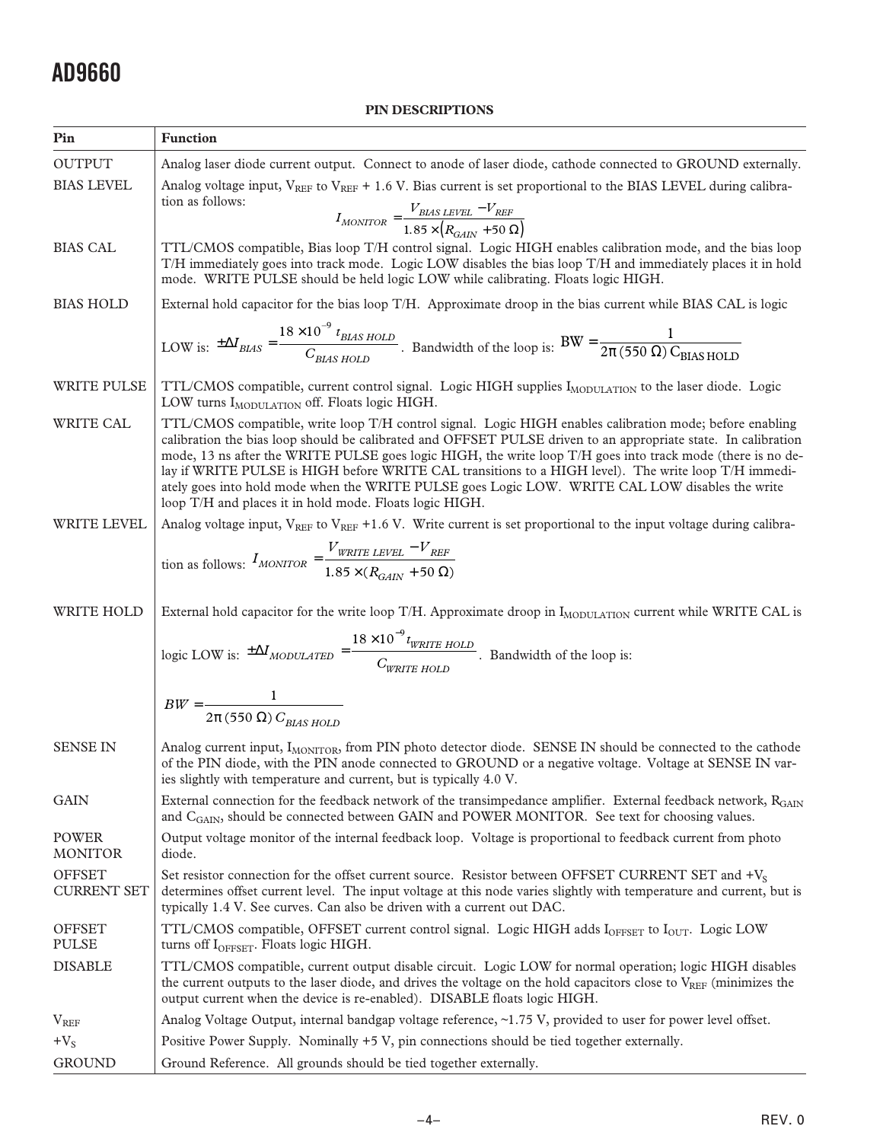## **PIN DESCRIPTIONS**

| Pin                                 | <b>Function</b>                                                                                                                                                                                                                                                                                                                                                                                                                                                                                                                                                                                                 |
|-------------------------------------|-----------------------------------------------------------------------------------------------------------------------------------------------------------------------------------------------------------------------------------------------------------------------------------------------------------------------------------------------------------------------------------------------------------------------------------------------------------------------------------------------------------------------------------------------------------------------------------------------------------------|
| <b>OUTPUT</b>                       | Analog laser diode current output. Connect to anode of laser diode, cathode connected to GROUND externally.                                                                                                                                                                                                                                                                                                                                                                                                                                                                                                     |
| <b>BIAS LEVEL</b>                   | Analog voltage input, V <sub>REF</sub> to V <sub>REF</sub> + 1.6 V. Bias current is set proportional to the BIAS LEVEL during calibra-                                                                                                                                                                                                                                                                                                                                                                                                                                                                          |
|                                     | tion as follows:<br>$I_{MONITOR} = \frac{V_{BIAS \; LEVEL} - V_{REF}}{1.85 \times (R_{GAIN} + 50 \; \Omega)}$                                                                                                                                                                                                                                                                                                                                                                                                                                                                                                   |
| <b>BIAS CAL</b>                     | TTL/CMOS compatible, Bias loop T/H control signal. Logic HIGH enables calibration mode, and the bias loop<br>T/H immediately goes into track mode. Logic LOW disables the bias loop T/H and immediately places it in hold<br>mode. WRITE PULSE should be held logic LOW while calibrating. Floats logic HIGH.                                                                                                                                                                                                                                                                                                   |
| <b>BIAS HOLD</b>                    | External hold capacitor for the bias loop T/H. Approximate droop in the bias current while BIAS CAL is logic                                                                                                                                                                                                                                                                                                                                                                                                                                                                                                    |
|                                     | LOW is: $\pm \Delta I_{BIAS} = \frac{18 \times 10^{-9} t_{BIAS\,HOLD}}{C_{BIAS\,HOLD}}$ . Bandwidth of the loop is: $BW = \frac{1}{2\pi (550 \,\Omega) C_{BIAS\,HOLD}}$                                                                                                                                                                                                                                                                                                                                                                                                                                         |
| <b>WRITE PULSE</b>                  | TTL/CMOS compatible, current control signal. Logic HIGH supplies IMODULATION to the laser diode. Logic<br>LOW turns IMODULATION off. Floats logic HIGH.                                                                                                                                                                                                                                                                                                                                                                                                                                                         |
| WRITE CAL                           | TTL/CMOS compatible, write loop T/H control signal. Logic HIGH enables calibration mode; before enabling<br>calibration the bias loop should be calibrated and OFFSET PULSE driven to an appropriate state. In calibration<br>mode, 13 ns after the WRITE PULSE goes logic HIGH, the write loop T/H goes into track mode (there is no de-<br>lay if WRITE PULSE is HIGH before WRITE CAL transitions to a HIGH level). The write loop T/H immedi-<br>ately goes into hold mode when the WRITE PULSE goes Logic LOW. WRITE CAL LOW disables the write<br>loop T/H and places it in hold mode. Floats logic HIGH. |
| <b>WRITE LEVEL</b>                  | Analog voltage input, $V_{REF}$ to $V_{REF}$ +1.6 V. Write current is set proportional to the input voltage during calibra-                                                                                                                                                                                                                                                                                                                                                                                                                                                                                     |
|                                     | tion as follows: $I_{MONITOR} = \frac{V_{WRITE \; LEVEL} - V_{REF}}{1.85 \times (R_{GAIN} + 50 \; \Omega)}$                                                                                                                                                                                                                                                                                                                                                                                                                                                                                                     |
| WRITE HOLD                          | External hold capacitor for the write loop T/H. Approximate droop in I <sub>MODULATION</sub> current while WRITE CAL is                                                                                                                                                                                                                                                                                                                                                                                                                                                                                         |
|                                     |                                                                                                                                                                                                                                                                                                                                                                                                                                                                                                                                                                                                                 |
|                                     | logic LOW is: $\pm \Delta I_{MODULATED} = \frac{18 \times 10^{-9} t_{WRITE\ HOLD}}{C_{WPTTF\ H以}}$ . Bandwidth of the loop is:                                                                                                                                                                                                                                                                                                                                                                                                                                                                                  |
|                                     | $BW = \frac{1}{2\pi (550 \ \Omega) C_{BIAS\ HOID}}$                                                                                                                                                                                                                                                                                                                                                                                                                                                                                                                                                             |
| SENSE IN                            | Analog current input, I <sub>MONITOR</sub> , from PIN photo detector diode. SENSE IN should be connected to the cathode<br>of the PIN diode, with the PIN anode connected to GROUND or a negative voltage. Voltage at SENSE IN var-<br>ies slightly with temperature and current, but is typically 4.0 V.                                                                                                                                                                                                                                                                                                       |
| <b>GAIN</b>                         | External connection for the feedback network of the transimpedance amplifier. External feedback network, RGAIN<br>and $C_{\text{GAN}}$ , should be connected between GAIN and POWER MONITOR. See text for choosing values.                                                                                                                                                                                                                                                                                                                                                                                      |
| <b>POWER</b><br><b>MONITOR</b>      | Output voltage monitor of the internal feedback loop. Voltage is proportional to feedback current from photo<br>diode.                                                                                                                                                                                                                                                                                                                                                                                                                                                                                          |
| <b>OFFSET</b><br><b>CURRENT SET</b> | Set resistor connection for the offset current source. Resistor between OFFSET CURRENT SET and +V <sub>S</sub><br>determines offset current level. The input voltage at this node varies slightly with temperature and current, but is<br>typically 1.4 V. See curves. Can also be driven with a current out DAC.                                                                                                                                                                                                                                                                                               |
| <b>OFFSET</b><br><b>PULSE</b>       | TTL/CMOS compatible, OFFSET current control signal. Logic HIGH adds $I_{\text{OFFSET}}$ to $I_{\text{OUT}}$ . Logic LOW<br>turns off I <sub>OFFSET</sub> . Floats logic HIGH.                                                                                                                                                                                                                                                                                                                                                                                                                                   |
| <b>DISABLE</b>                      | TTL/CMOS compatible, current output disable circuit. Logic LOW for normal operation; logic HIGH disables<br>the current outputs to the laser diode, and drives the voltage on the hold capacitors close to $V_{REF}$ (minimizes the<br>output current when the device is re-enabled). DISABLE floats logic HIGH.                                                                                                                                                                                                                                                                                                |
| $V_{REF}$                           | Analog Voltage Output, internal bandgap voltage reference, ~1.75 V, provided to user for power level offset.                                                                                                                                                                                                                                                                                                                                                                                                                                                                                                    |
| $+V_{S}$                            | Positive Power Supply. Nominally +5 V, pin connections should be tied together externally.                                                                                                                                                                                                                                                                                                                                                                                                                                                                                                                      |
| <b>GROUND</b>                       | Ground Reference. All grounds should be tied together externally.                                                                                                                                                                                                                                                                                                                                                                                                                                                                                                                                               |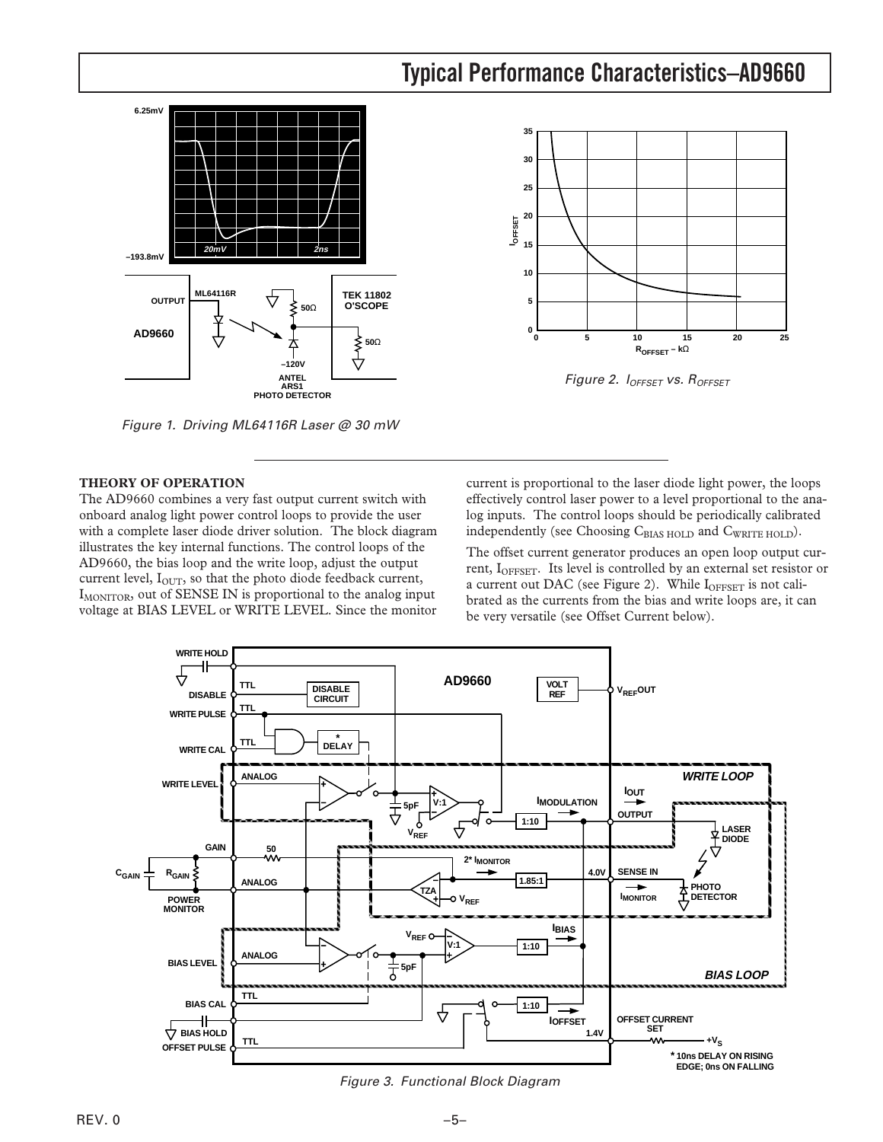#### **Typical Performance Characteristics–AD9660 6.25mV** 35<br> **IOFFSET**<br> **L**<br> **IOFFSET**<br> **15**<br> **15 30 25 20 15 20mV 2ns –193.8mV 10 ML64116R COUTPUT ML64116R COUTPUT 5 O'SCOPE 50**Ω **0 AD9660** ↔ **0 25 5 10 15 20 50**Ω ₹<br>J<br>V **ROFFSET – k**Ω **–120V ANTEL** Figure 2.  $I<sub>OFFSET</sub>$  vs.  $R<sub>OFFSET</sub>$ **ARS1 PHOTO DETECTOR**

Figure 1. Driving ML64116R Laser @ 30 mW

## **THEORY OF OPERATION**

The AD9660 combines a very fast output current switch with onboard analog light power control loops to provide the user with a complete laser diode driver solution. The block diagram illustrates the key internal functions. The control loops of the AD9660, the bias loop and the write loop, adjust the output current level,  $I<sub>OUT</sub>$ , so that the photo diode feedback current, I<sub>MONITOR</sub>, out of SENSE IN is proportional to the analog input voltage at BIAS LEVEL or WRITE LEVEL. Since the monitor

current is proportional to the laser diode light power, the loops effectively control laser power to a level proportional to the analog inputs. The control loops should be periodically calibrated independently (see Choosing CBIAS HOLD and CWRITE HOLD).

The offset current generator produces an open loop output current, I<sub>OFFSET</sub>. Its level is controlled by an external set resistor or a current out DAC (see Figure 2). While IOFFSET is not calibrated as the currents from the bias and write loops are, it can be very versatile (see Offset Current below).



Figure 3. Functional Block Diagram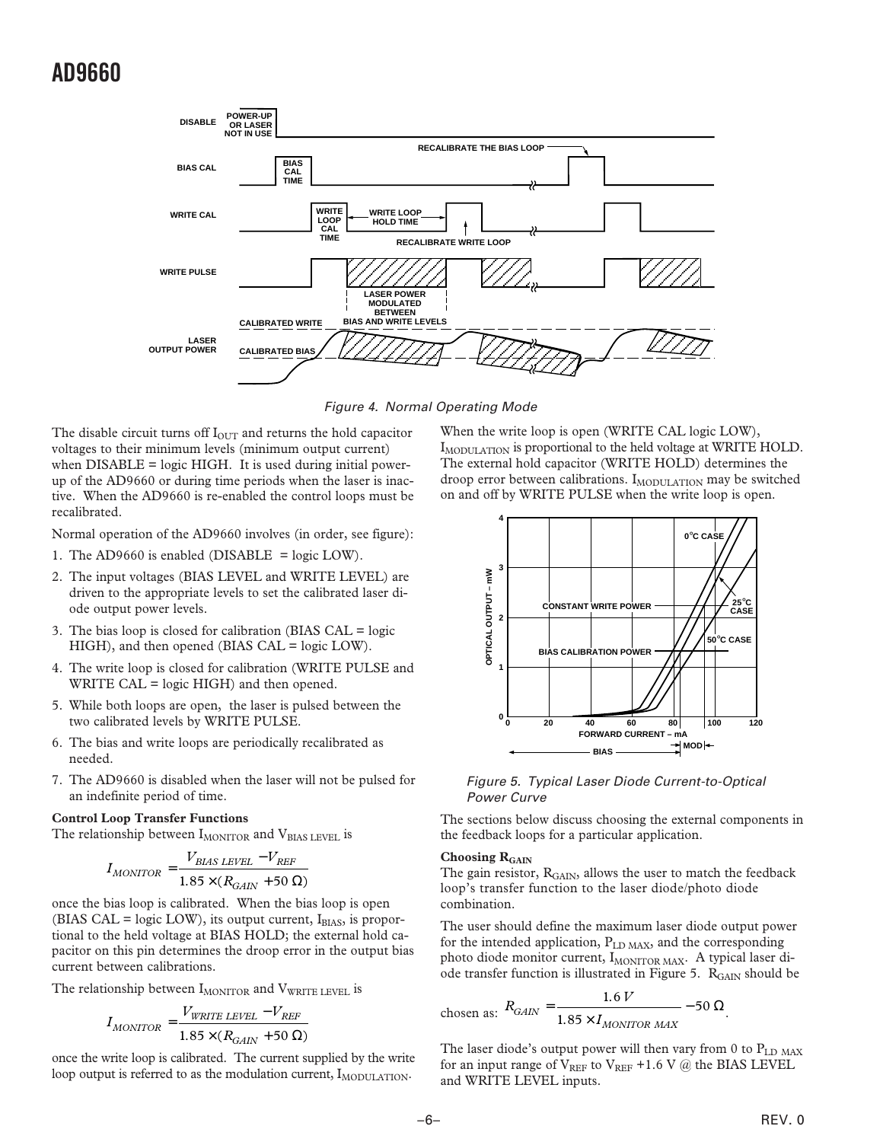

Figure 4. Normal Operating Mode

The disable circuit turns off  $I<sub>OUT</sub>$  and returns the hold capacitor voltages to their minimum levels (minimum output current) when  $DISABLE = logic HIGH$ . It is used during initial powerup of the AD9660 or during time periods when the laser is inactive. When the AD9660 is re-enabled the control loops must be recalibrated.

Normal operation of the AD9660 involves (in order, see figure):

- 1. The AD9660 is enabled (DISABLE = logic LOW).
- 2. The input voltages (BIAS LEVEL and WRITE LEVEL) are driven to the appropriate levels to set the calibrated laser diode output power levels.
- 3. The bias loop is closed for calibration (BIAS CAL = logic HIGH), and then opened (BIAS CAL = logic LOW).
- 4. The write loop is closed for calibration (WRITE PULSE and WRITE CAL = logic HIGH) and then opened.
- 5. While both loops are open, the laser is pulsed between the two calibrated levels by WRITE PULSE.
- 6. The bias and write loops are periodically recalibrated as needed.
- 7. The AD9660 is disabled when the laser will not be pulsed for an indefinite period of time.

#### **Control Loop Transfer Functions**

The relationship between  $I_{MONTOR}$  and  $V_{BIAS LEVEL}$  is

$$
I_{MONITOR} = \frac{V_{BIAS \ LEVEL} - V_{REF}}{1.85 \times (R_{GAIN} + 50 \ \Omega)}
$$

once the bias loop is calibrated. When the bias loop is open (BIAS CAL = logic LOW), its output current,  $I_{\text{BIAS}}$ , is proportional to the held voltage at BIAS HOLD; the external hold capacitor on this pin determines the droop error in the output bias current between calibrations.

The relationship between  $I_{MONTOR}$  and  $V_{WRITE \text{ LEVEL}}$  is

$$
I_{MONITOR} = \frac{V_{WRITE \ LEVEL} - V_{REF}}{1.85 \times (R_{GAN} + 50 \ \Omega)}
$$

once the write loop is calibrated. The current supplied by the write loop output is referred to as the modulation current, I<sub>MODULATION</sub>.

When the write loop is open (WRITE CAL logic LOW), I<sub>MODULATION</sub> is proportional to the held voltage at WRITE HOLD. The external hold capacitor (WRITE HOLD) determines the droop error between calibrations.  $I_{\text{MODULATION}}$  may be switched on and off by WRITE PULSE when the write loop is open.



Figure 5. Typical Laser Diode Current-to-Optical Power Curve

The sections below discuss choosing the external components in the feedback loops for a particular application.

## Choosing R<sub>GAIN</sub>

The gain resistor,  $R_{GAN}$ , allows the user to match the feedback loop's transfer function to the laser diode/photo diode combination.

The user should define the maximum laser diode output power for the intended application,  $P_{LD \text{ MAX}}$ , and the corresponding photo diode monitor current, IMONITOR MAX. A typical laser diode transfer function is illustrated in Figure 5. R<sub>GAIN</sub> should be

chosen as: 
$$
R_{GAIN} = \frac{1.6 V}{1.85 \times I_{MONITOR MAX}} - 50 \Omega
$$
.

The laser diode's output power will then vary from 0 to  $P_{LD MAX}$ for an input range of  $V_{REF}$  to  $V_{REF}$  +1.6 V  $\omega$  the BIAS LEVEL and WRITE LEVEL inputs.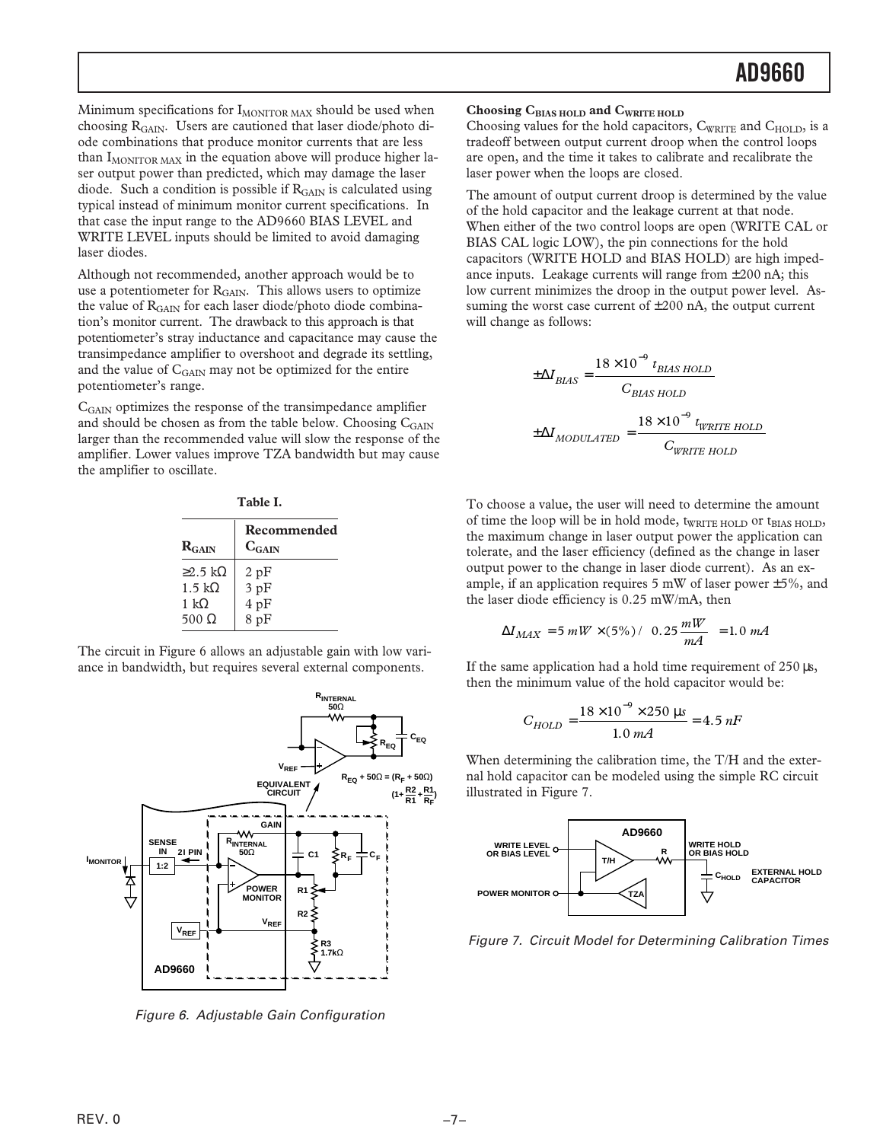Minimum specifications for  $I_{MONITOR\, MAX}$  should be used when choosing RGAIN. Users are cautioned that laser diode/photo diode combinations that produce monitor currents that are less than  $I_{MONTOR MAX}$  in the equation above will produce higher laser output power than predicted, which may damage the laser diode. Such a condition is possible if  $R<sub>GAIN</sub>$  is calculated using typical instead of minimum monitor current specifications. In that case the input range to the AD9660 BIAS LEVEL and WRITE LEVEL inputs should be limited to avoid damaging laser diodes.

Although not recommended, another approach would be to use a potentiometer for R<sub>GAIN</sub>. This allows users to optimize the value of  $R<sub>GAIN</sub>$  for each laser diode/photo diode combination's monitor current. The drawback to this approach is that potentiometer's stray inductance and capacitance may cause the transimpedance amplifier to overshoot and degrade its settling, and the value of C<sub>GAIN</sub> may not be optimized for the entire potentiometer's range.

CGAIN optimizes the response of the transimpedance amplifier and should be chosen as from the table below. Choosing  $C_{GAIN}$ larger than the recommended value will slow the response of the amplifier. Lower values improve TZA bandwidth but may cause the amplifier to oscillate.

| . .<br>۰.<br>×<br>×<br>۰. |
|---------------------------|
|---------------------------|

| $R_{GAN}$             | Recommended<br>$C_{GAN}$ |
|-----------------------|--------------------------|
| $\geq$ 2.5 kΩ         | 2pF                      |
| $1.5 \text{ k}\Omega$ | 3pF                      |
| 1 k $\Omega$          | 4pF                      |
| $500 \Omega$          | 8pF                      |

The circuit in Figure 6 allows an adjustable gain with low variance in bandwidth, but requires several external components.



Figure 6. Adjustable Gain Configuration

### Choosing C<sub>BIAS HOLD</sub> and C<sub>WRITE HOLD</sub>

Choosing values for the hold capacitors, CWRITE and C<sub>HOLD</sub>, is a tradeoff between output current droop when the control loops are open, and the time it takes to calibrate and recalibrate the laser power when the loops are closed.

The amount of output current droop is determined by the value of the hold capacitor and the leakage current at that node. When either of the two control loops are open (WRITE CAL or BIAS CAL logic LOW), the pin connections for the hold capacitors (WRITE HOLD and BIAS HOLD) are high impedance inputs. Leakage currents will range from  $\pm 200$  nA; this low current minimizes the droop in the output power level. Assuming the worst case current of  $\pm 200$  nA, the output current will change as follows:

$$
\pm \Delta I_{BIAS} = \frac{18 \times 10^{-9} t_{BIAS\;HOLD}}{C_{BIAS\;HOLD}}
$$

$$
\pm \Delta I_{MODULATED} = \frac{18 \times 10^{-9} t_{WRITE\;HOLD}}{C_{WRITE\;HOLD}}
$$

To choose a value, the user will need to determine the amount of time the loop will be in hold mode,  $t_{\text{WRITE HOLD}}$  or  $t_{\text{BIAS HOLD}}$ , the maximum change in laser output power the application can tolerate, and the laser efficiency (defined as the change in laser output power to the change in laser diode current). As an example, if an application requires 5 mW of laser power  $\pm$  5%, and the laser diode efficiency is 0.25 mW/mA, then

$$
\Delta I_{MAX} = 5 \, mW \times (5\%) / \left(0.25 \frac{mW}{mA}\right) = 1.0 \, mA
$$

If the same application had a hold time requirement of  $250 \,\mu s$ , then the minimum value of the hold capacitor would be:

$$
C_{HOLD} = \frac{18 \times 10^{-9} \times 250 \text{ }\mu\text{s}}{1.0 \text{ }mA} = 4.5 \text{ }\text{nF}
$$

When determining the calibration time, the T/H and the external hold capacitor can be modeled using the simple RC circuit illustrated in Figure 7.



Figure 7. Circuit Model for Determining Calibration Times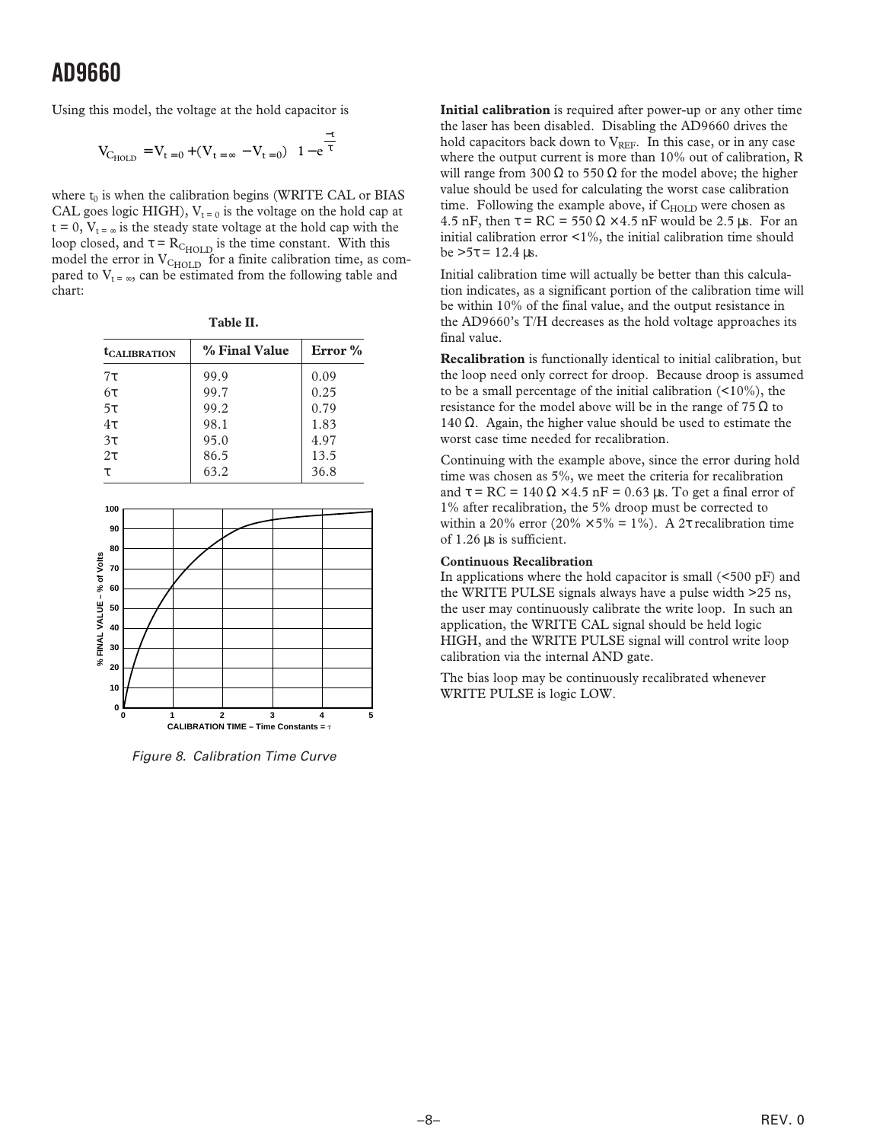Using this model, the voltage at the hold capacitor is

$$
V_{C_{HOLD}} = V_{t=0} + (V_{t=\infty} - V_{t=0}) \left( 1 - e^{\frac{-t}{\tau}} \right)
$$

where  $t_0$  is when the calibration begins (WRITE CAL or BIAS CAL goes logic HIGH),  $V_{t=0}$  is the voltage on the hold cap at  $t = 0$ ,  $V_{t = \infty}$  is the steady state voltage at the hold cap with the loop closed, and  $\tau = R_{\text{C}_{\text{HOLD}}}$  is the time constant. With this model the error in  $V_{\text{CHOLD}}$  for a finite calibration time, as compared to  $V_{t = \infty}$ , can be estimated from the following table and chart:

| ---<br>o m<br>$\sim$ |  |
|----------------------|--|
|----------------------|--|

| <b><i>CALIBRATION</i></b> | % Final Value | Error % |
|---------------------------|---------------|---------|
| $7\tau$                   | 99.9          | 0.09    |
| $6\tau$                   | 99.7          | 0.25    |
| $5\tau$                   | 99.2          | 0.79    |
| $4\tau$                   | 98.1          | 1.83    |
| $3\tau$                   | 95.0          | 4.97    |
| $2\tau$                   | 86.5          | 13.5    |
|                           | 63.2          | 36.8    |



Figure 8. Calibration Time Curve

**Initial calibration** is required after power-up or any other time the laser has been disabled. Disabling the AD9660 drives the hold capacitors back down to  $V_{REF}$ . In this case, or in any case where the output current is more than 10% out of calibration, R will range from 300 Ω to 550 Ω for the model above; the higher value should be used for calculating the worst case calibration time. Following the example above, if  $C_{HOLD}$  were chosen as 4.5 nF, then  $\tau = RC = 550 \Omega \times 4.5$  nF would be 2.5 µs. For an initial calibration error <1%, the initial calibration time should be  $>5τ = 12.4$  μs.

Initial calibration time will actually be better than this calculation indicates, as a significant portion of the calibration time will be within 10% of the final value, and the output resistance in the AD9660's T/H decreases as the hold voltage approaches its final value.

**Recalibration** is functionally identical to initial calibration, but the loop need only correct for droop. Because droop is assumed to be a small percentage of the initial calibration (<10%), the resistance for the model above will be in the range of 75  $\Omega$  to 140 Ω. Again, the higher value should be used to estimate the worst case time needed for recalibration.

Continuing with the example above, since the error during hold time was chosen as 5%, we meet the criteria for recalibration and  $\tau = RC = 140 \Omega \times 4.5 \text{ nF} = 0.63 \mu\text{s}$ . To get a final error of 1% after recalibration, the 5% droop must be corrected to within a 20% error (20%  $\times$  5% = 1%). A 2t recalibration time of 1.26 µs is sufficient.

#### **Continuous Recalibration**

In applications where the hold capacitor is small  $(<500 \text{ pF})$  and the WRITE PULSE signals always have a pulse width >25 ns, the user may continuously calibrate the write loop. In such an application, the WRITE CAL signal should be held logic HIGH, and the WRITE PULSE signal will control write loop calibration via the internal AND gate.

The bias loop may be continuously recalibrated whenever WRITE PULSE is logic LOW.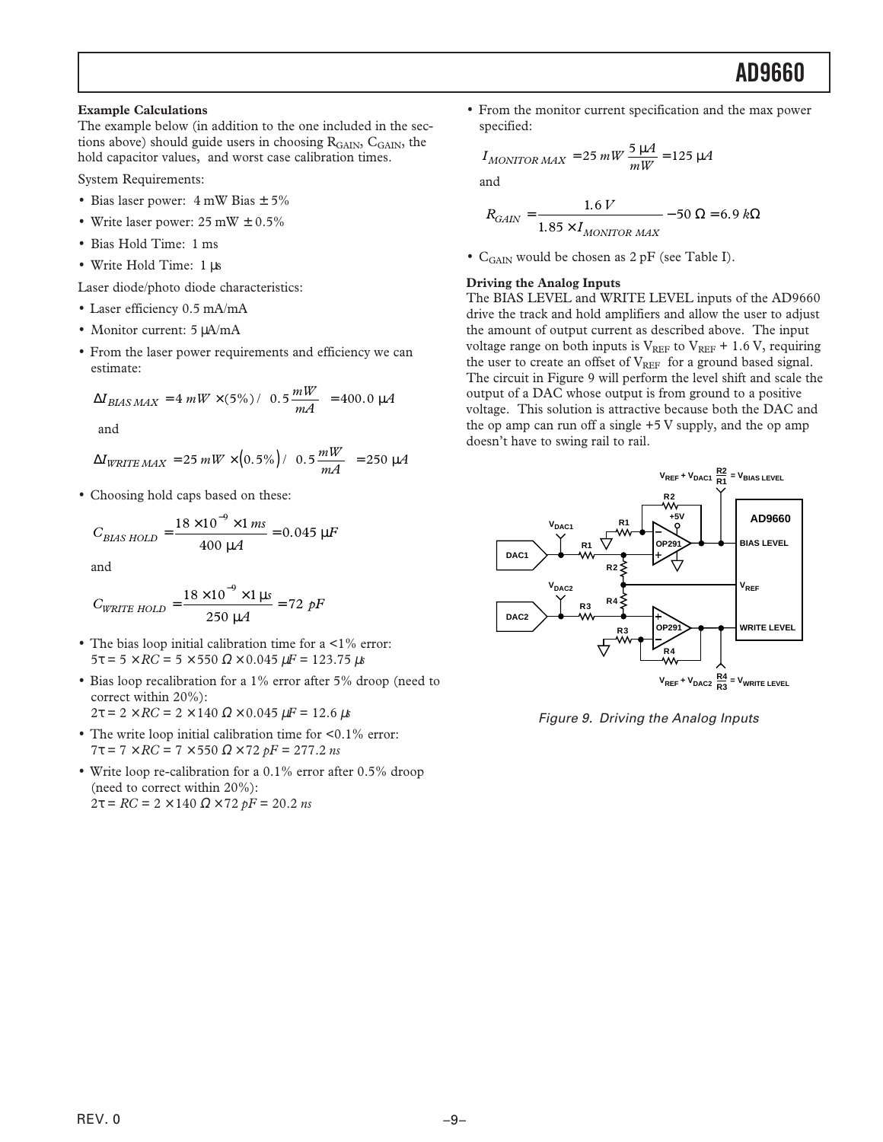**Example Calculations**

The example below (in addition to the one included in the sections above) should guide users in choosing  $R_{\text{GAIN}}$ ,  $C_{\text{GAIN}}$ , the hold capacitor values, and worst case calibration times.

System Requirements:

- Bias laser power:  $4 \text{ mW Bias} \pm 5\%$
- Write laser power:  $25 \text{ mW} \pm 0.5\%$
- Bias Hold Time: 1 ms
- Write Hold Time: 1 µs

Laser diode/photo diode characteristics:

- Laser efficiency 0.5 mA/mA
- Monitor current: 5 µA/mA
- From the laser power requirements and efficiency we can estimate:

$$
\Delta I_{BIAS \, MAX} = 4 \, mW \times (5\%) / \left(0.5 \frac{mW}{mA}\right) = 400.0 \, \mu A
$$

and

$$
\Delta I_{WRITE \, MAX} = 25 \, mW \times (0.5\%) / \left(0.5 \frac{mW}{mA}\right) = 250 \, \mu A
$$

• Choosing hold caps based on these:

$$
C_{BIAS\;HOLD} = \frac{18 \times 10^{-9} \times 1 \, ms}{400 \, \mu A} = 0.045 \, \mu F
$$

and

$$
C_{\text{WRITE HOLD}} = \frac{18 \times 10^{-9} \times 1 \,\mu s}{250 \,\mu A} = 72 \,\,pF
$$

- The bias loop initial calibration time for a  $\leq 1\%$  error: 5τ = 5 × *RC* = 5 × 550 Ω × 0.045 µ*F* = 123.75 µ*s*
- Bias loop recalibration for a 1% error after 5% droop (need to correct within 20%):
- 2τ = 2 × *RC* = 2 × 140 Ω × 0.045 µ*F* = 12.6 µ*s*
- The write loop initial calibration time for  $\leq 0.1\%$  error: 7τ = 7 × *RC* = 7 × 550 Ω × 72 *pF* = 277.2 *ns*
- Write loop re-calibration for a 0.1% error after 0.5% droop (need to correct within 20%): 2τ = *RC* = 2 × 140 Ω × 72 *pF* = 20.2 *ns*

• From the monitor current specification and the max power specified:

$$
I_{MONITOR \, MAX} = 25 \, mW \, \frac{5 \, \mu A}{mW} = 125 \, \mu A
$$

and

$$
R_{GAIN} = \frac{1.6 V}{1.85 \times I_{MONITOR \ MAX}} - 50 \ \Omega = 6.9 k\Omega
$$

• C<sub>GAIN</sub> would be chosen as 2 pF (see Table I).

### **Driving the Analog Inputs**

The BIAS LEVEL and WRITE LEVEL inputs of the AD9660 drive the track and hold amplifiers and allow the user to adjust the amount of output current as described above. The input voltage range on both inputs is  $V_{REF}$  to  $V_{REF}$  + 1.6 V, requiring the user to create an offset of  $V_{REF}$  for a ground based signal. The circuit in Figure 9 will perform the level shift and scale the output of a DAC whose output is from ground to a positive voltage. This solution is attractive because both the DAC and the op amp can run off a single  $+5$  V supply, and the op amp doesn't have to swing rail to rail.



Figure 9. Driving the Analog Inputs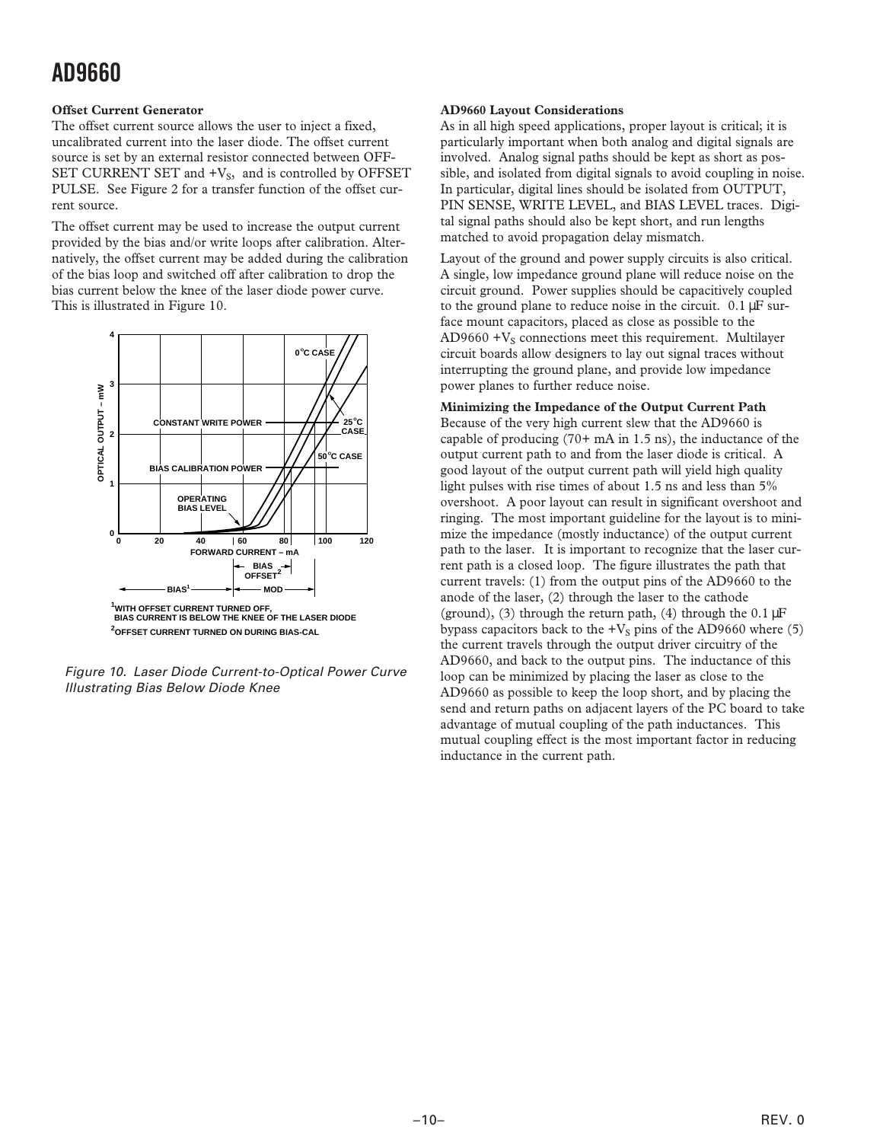## **Offset Current Generator**

The offset current source allows the user to inject a fixed, uncalibrated current into the laser diode. The offset current source is set by an external resistor connected between OFF-SET CURRENT SET and  $+V_S$ , and is controlled by OFFSET PULSE. See Figure 2 for a transfer function of the offset current source.

The offset current may be used to increase the output current provided by the bias and/or write loops after calibration. Alternatively, the offset current may be added during the calibration of the bias loop and switched off after calibration to drop the bias current below the knee of the laser diode power curve. This is illustrated in Figure 10.



Figure 10. Laser Diode Current-to-Optical Power Curve Illustrating Bias Below Diode Knee

## **AD9660 Layout Considerations**

As in all high speed applications, proper layout is critical; it is particularly important when both analog and digital signals are involved. Analog signal paths should be kept as short as possible, and isolated from digital signals to avoid coupling in noise. In particular, digital lines should be isolated from OUTPUT, PIN SENSE, WRITE LEVEL, and BIAS LEVEL traces. Digital signal paths should also be kept short, and run lengths matched to avoid propagation delay mismatch.

Layout of the ground and power supply circuits is also critical. A single, low impedance ground plane will reduce noise on the circuit ground. Power supplies should be capacitively coupled to the ground plane to reduce noise in the circuit. 0.1 µF surface mount capacitors, placed as close as possible to the  $AD9660 + V<sub>S</sub>$  connections meet this requirement. Multilayer circuit boards allow designers to lay out signal traces without interrupting the ground plane, and provide low impedance power planes to further reduce noise.

## **Minimizing the Impedance of the Output Current Path**

Because of the very high current slew that the AD9660 is capable of producing (70+ mA in 1.5 ns), the inductance of the output current path to and from the laser diode is critical. A good layout of the output current path will yield high quality light pulses with rise times of about 1.5 ns and less than 5% overshoot. A poor layout can result in significant overshoot and ringing. The most important guideline for the layout is to minimize the impedance (mostly inductance) of the output current path to the laser. It is important to recognize that the laser current path is a closed loop. The figure illustrates the path that current travels: (1) from the output pins of the AD9660 to the anode of the laser, (2) through the laser to the cathode (ground), (3) through the return path, (4) through the  $0.1 \mu$ F bypass capacitors back to the  $+V_s$  pins of the AD9660 where (5) the current travels through the output driver circuitry of the AD9660, and back to the output pins. The inductance of this loop can be minimized by placing the laser as close to the AD9660 as possible to keep the loop short, and by placing the send and return paths on adjacent layers of the PC board to take advantage of mutual coupling of the path inductances. This mutual coupling effect is the most important factor in reducing inductance in the current path.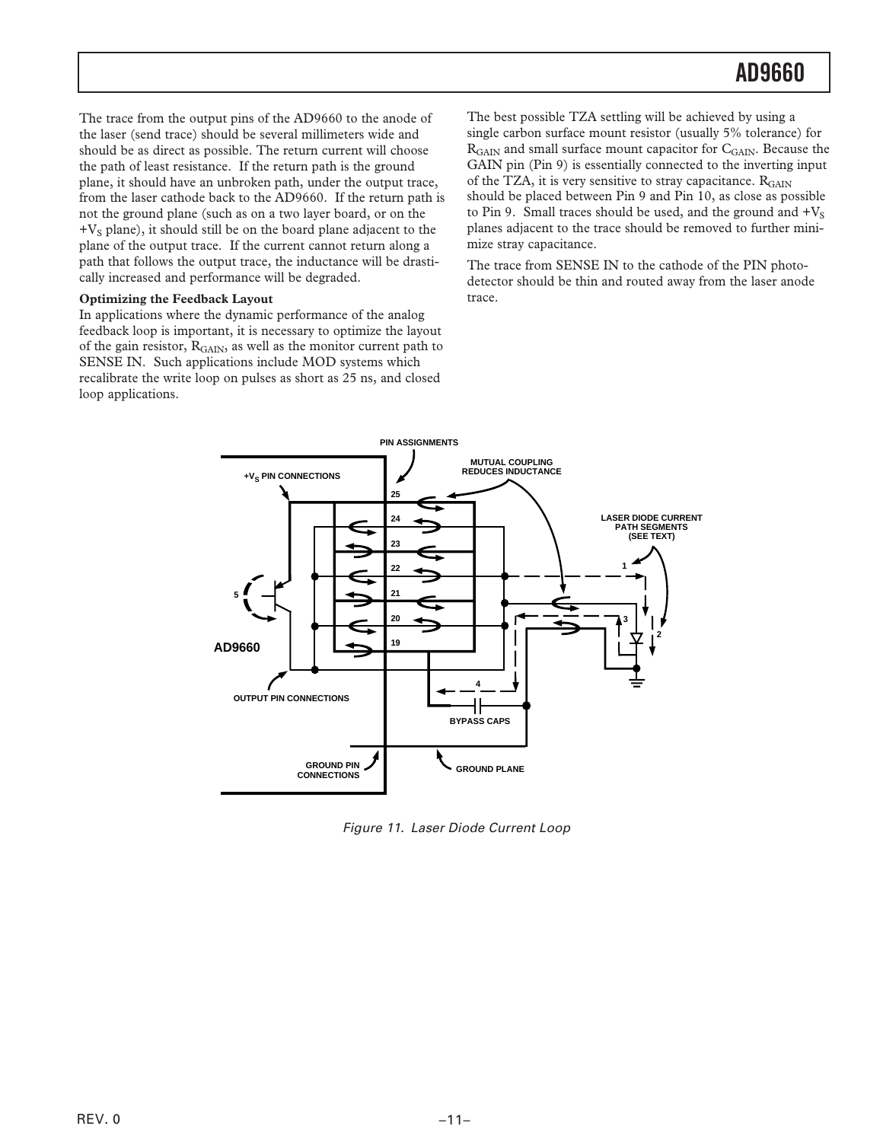The trace from the output pins of the AD9660 to the anode of the laser (send trace) should be several millimeters wide and should be as direct as possible. The return current will choose the path of least resistance. If the return path is the ground plane, it should have an unbroken path, under the output trace, from the laser cathode back to the AD9660. If the return path is not the ground plane (such as on a two layer board, or on the  $+V<sub>S</sub>$  plane), it should still be on the board plane adjacent to the plane of the output trace. If the current cannot return along a path that follows the output trace, the inductance will be drastically increased and performance will be degraded.

### **Optimizing the Feedback Layout**

In applications where the dynamic performance of the analog feedback loop is important, it is necessary to optimize the layout of the gain resistor, R<sub>GAIN</sub>, as well as the monitor current path to SENSE IN. Such applications include MOD systems which recalibrate the write loop on pulses as short as 25 ns, and closed loop applications.

The best possible TZA settling will be achieved by using a single carbon surface mount resistor (usually 5% tolerance) for R<sub>GAIN</sub> and small surface mount capacitor for C<sub>GAIN</sub>. Because the GAIN pin (Pin 9) is essentially connected to the inverting input of the TZA, it is very sensitive to stray capacitance.  $R_{GAIN}$ should be placed between Pin 9 and Pin 10, as close as possible to Pin 9. Small traces should be used, and the ground and  $+V_S$ planes adjacent to the trace should be removed to further minimize stray capacitance.

The trace from SENSE IN to the cathode of the PIN photodetector should be thin and routed away from the laser anode trace.



Figure 11. Laser Diode Current Loop